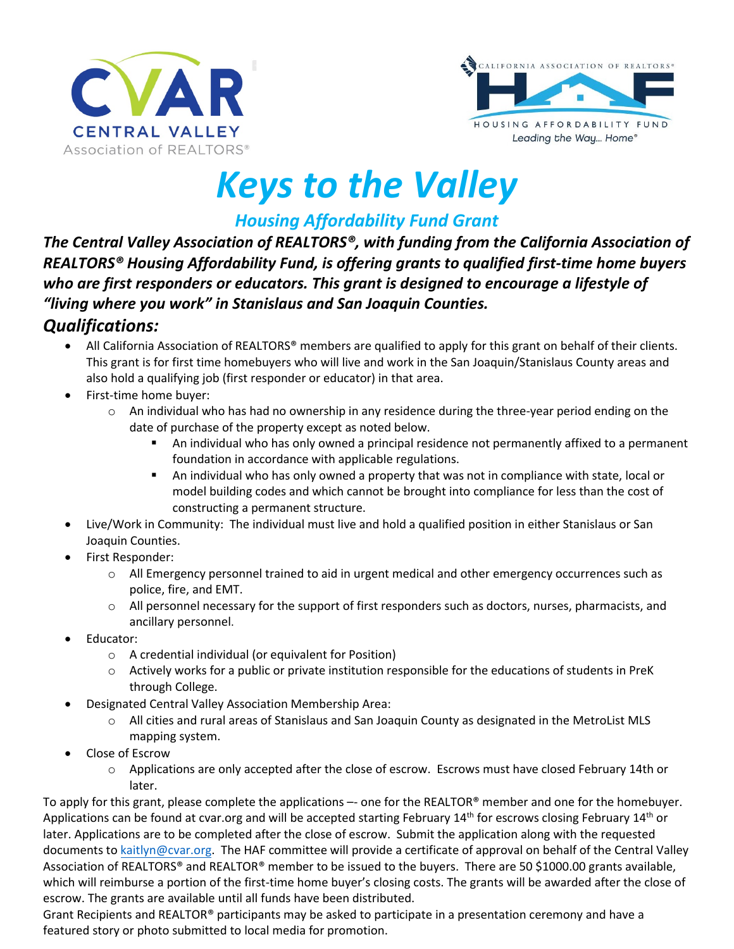



# *Keys to the Valley*

*Housing Affordability Fund Grant* 

*The Central Valley Association of REALTORS®, with funding from the California Association of REALTORS® Housing Affordability Fund, is offering grants to qualified first-time home buyers who are first responders or educators. This grant is designed to encourage a lifestyle of "living where you work" in Stanislaus and San Joaquin Counties.* 

### *Qualifications:*

- All California Association of REALTORS<sup>®</sup> members are qualified to apply for this grant on behalf of their clients. This grant is for first time homebuyers who will live and work in the San Joaquin/Stanislaus County areas and also hold a qualifying job (first responder or educator) in that area.
- First-time home buyer:
	- $\circ$  An individual who has had no ownership in any residence during the three-year period ending on the date of purchase of the property except as noted below.
		- An individual who has only owned a principal residence not permanently affixed to a permanent foundation in accordance with applicable regulations.
		- An individual who has only owned a property that was not in compliance with state, local or model building codes and which cannot be brought into compliance for less than the cost of constructing a permanent structure.
- Live/Work in Community: The individual must live and hold a qualified position in either Stanislaus or San Joaquin Counties.
- First Responder:
	- o All Emergency personnel trained to aid in urgent medical and other emergency occurrences such as police, fire, and EMT.
	- o All personnel necessary for the support of first responders such as doctors, nurses, pharmacists, and ancillary personnel.
- Educator:
	- o A credential individual (or equivalent for Position)
	- o Actively works for a public or private institution responsible for the educations of students in PreK through College.
- Designated Central Valley Association Membership Area:
	- $\circ$  All cities and rural areas of Stanislaus and San Joaquin County as designated in the MetroList MLS mapping system.
- Close of Escrow
	- $\circ$  Applications are only accepted after the close of escrow. Escrows must have closed February 14th or later.

To apply for this grant, please complete the applications –- one for the REALTOR® member and one for the homebuyer. Applications can be found at cvar.org and will be accepted starting February 14<sup>th</sup> for escrows closing February 14<sup>th</sup> or later. Applications are to be completed after the close of escrow. Submit the application along with the requested documents to [kaitlyn@cvar.org.](mailto:kaitlyn@cvar.org) The HAF committee will provide a certificate of approval on behalf of the Central Valley Association of REALTORS® and REALTOR® member to be issued to the buyers. There are 50 \$1000.00 grants available, which will reimburse a portion of the first-time home buyer's closing costs. The grants will be awarded after the close of escrow. The grants are available until all funds have been distributed.

Grant Recipients and REALTOR® participants may be asked to participate in a presentation ceremony and have a featured story or photo submitted to local media for promotion.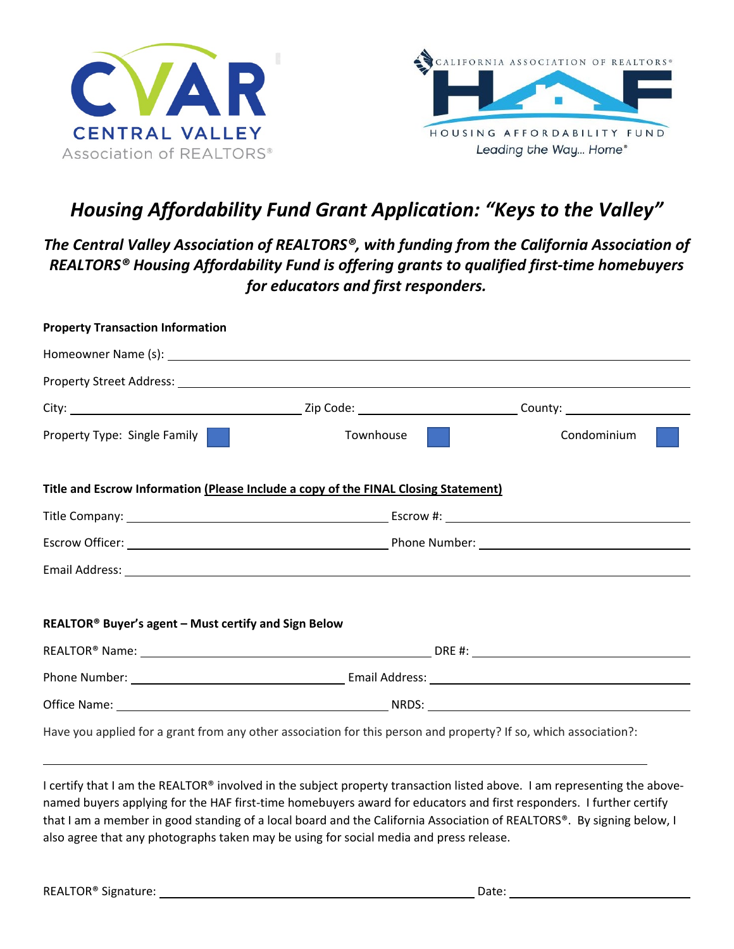



## *Housing Affordability Fund Grant Application: "Keys to the Valley"*

#### *The Central Valley Association of REALTORS®, with funding from the California Association of REALTORS® Housing Affordability Fund is offering grants to qualified first-time homebuyers for educators and first responders.*

| <b>Property Transaction Information</b>              |                                                                                                                  |             |
|------------------------------------------------------|------------------------------------------------------------------------------------------------------------------|-------------|
|                                                      |                                                                                                                  |             |
|                                                      |                                                                                                                  |             |
|                                                      |                                                                                                                  |             |
| <b>Property Type: Single Family</b>                  | Townhouse<br><b>Contract</b>                                                                                     | Condominium |
|                                                      | Title and Escrow Information (Please Include a copy of the FINAL Closing Statement)                              |             |
|                                                      |                                                                                                                  |             |
|                                                      |                                                                                                                  |             |
|                                                      |                                                                                                                  |             |
|                                                      |                                                                                                                  |             |
| REALTOR® Buyer's agent - Must certify and Sign Below |                                                                                                                  |             |
|                                                      | REALTOR® Name: Name: Name and Alliance and Alliance and Alliance and Alliance and DRE #: Name and Alliance and A |             |
|                                                      |                                                                                                                  |             |
|                                                      |                                                                                                                  |             |
|                                                      | Have you applied for a grant from any other association for this person and property? If so, which association?: |             |

I certify that I am the REALTOR® involved in the subject property transaction listed above. I am representing the abovenamed buyers applying for the HAF first-time homebuyers award for educators and first responders. I further certify that I am a member in good standing of a local board and the California Association of REALTORS®. By signing below, I also agree that any photographs taken may be using for social media and press release.